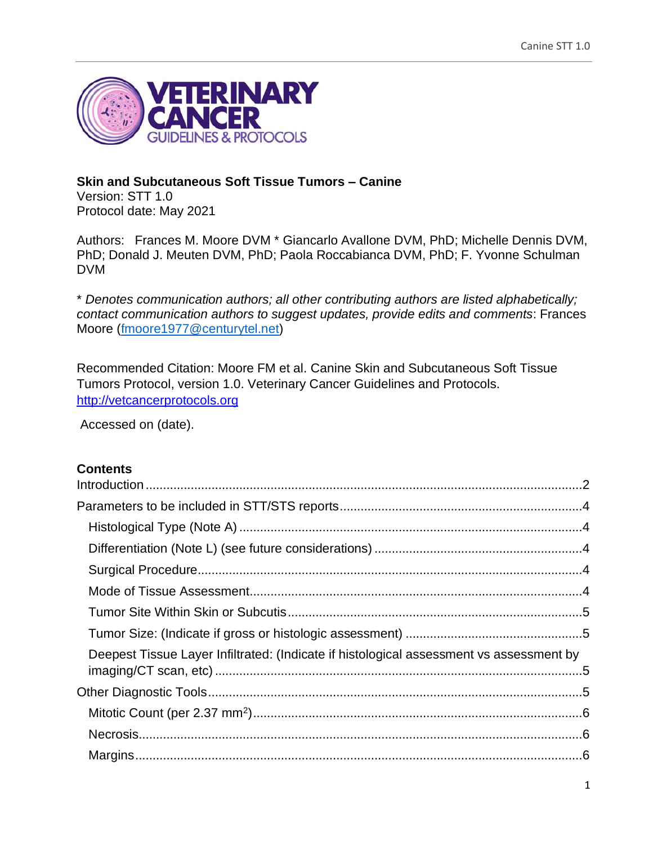

# **Skin and Subcutaneous Soft Tissue Tumors – Canine**

Version: STT 1.0 Protocol date: May 2021

Authors: Frances M. Moore DVM \* Giancarlo Avallone DVM, PhD; Michelle Dennis DVM, PhD; Donald J. Meuten DVM, PhD; Paola Roccabianca DVM, PhD; F. Yvonne Schulman DVM

\* *Denotes communication authors; all other contributing authors are listed alphabetically; contact communication authors to suggest updates, provide edits and comments*: Frances Moore [\(fmoore1977@centurytel.net\)](mailto:fmoore1977@centurytel.net)

Recommended Citation: Moore FM et al. Canine Skin and Subcutaneous Soft Tissue Tumors Protocol, version 1.0. Veterinary Cancer Guidelines and Protocols. [http://vetcancerprotocols.org](http://vetcancerprotocols.org/)

Accessed on (date).

## **Contents**

| Deepest Tissue Layer Infiltrated: (Indicate if histological assessment vs assessment by |  |
|-----------------------------------------------------------------------------------------|--|
|                                                                                         |  |
|                                                                                         |  |
|                                                                                         |  |
|                                                                                         |  |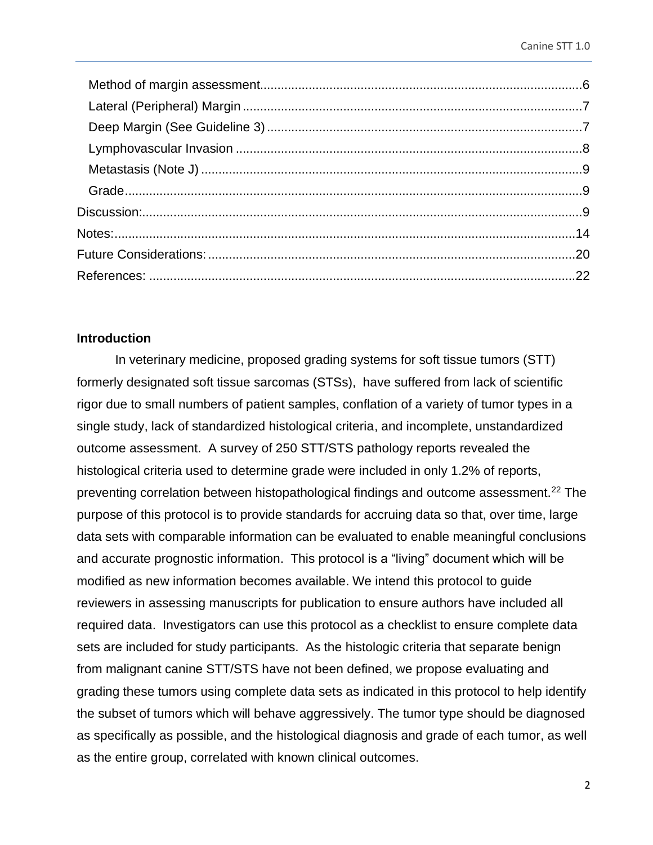#### <span id="page-1-0"></span>**Introduction**

In veterinary medicine, proposed grading systems for soft tissue tumors (STT) formerly designated soft tissue sarcomas (STSs), have suffered from lack of scientific rigor due to small numbers of patient samples, conflation of a variety of tumor types in a single study, lack of standardized histological criteria, and incomplete, unstandardized outcome assessment. A survey of 250 STT/STS pathology reports revealed the histological criteria used to determine grade were included in only 1.2% of reports, preventing correlation between histopathological findings and outcome assessment.<sup>22</sup> The purpose of this protocol is to provide standards for accruing data so that, over time, large data sets with comparable information can be evaluated to enable meaningful conclusions and accurate prognostic information. This protocol is a "living" document which will be modified as new information becomes available. We intend this protocol to guide reviewers in assessing manuscripts for publication to ensure authors have included all required data. Investigators can use this protocol as a checklist to ensure complete data sets are included for study participants. As the histologic criteria that separate benign from malignant canine STT/STS have not been defined, we propose evaluating and grading these tumors using complete data sets as indicated in this protocol to help identify the subset of tumors which will behave aggressively. The tumor type should be diagnosed as specifically as possible, and the histological diagnosis and grade of each tumor, as well as the entire group, correlated with known clinical outcomes.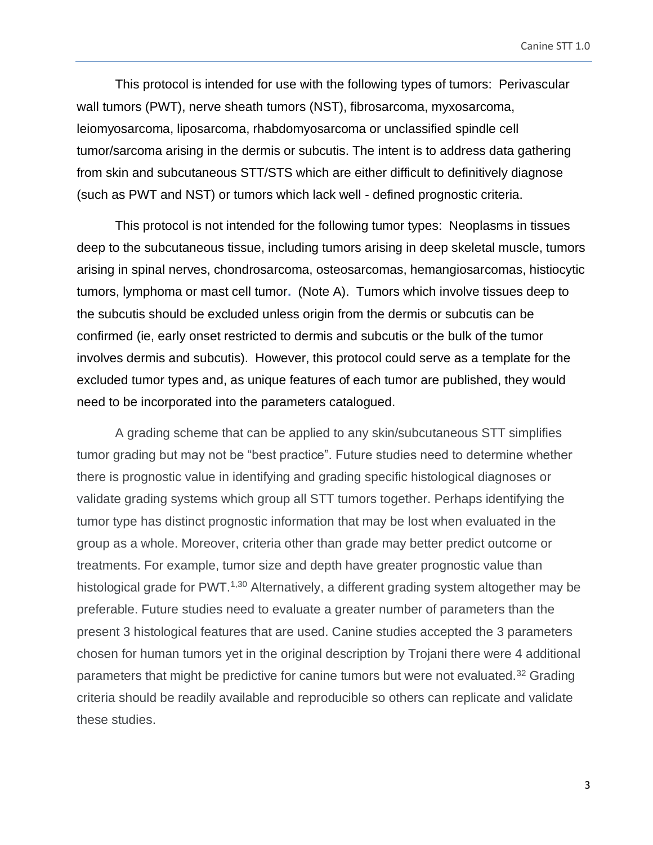This protocol is intended for use with the following types of tumors: Perivascular wall tumors (PWT), nerve sheath tumors (NST), fibrosarcoma, myxosarcoma, leiomyosarcoma, liposarcoma, rhabdomyosarcoma or unclassified spindle cell tumor/sarcoma arising in the dermis or subcutis. The intent is to address data gathering from skin and subcutaneous STT/STS which are either difficult to definitively diagnose (such as PWT and NST) or tumors which lack well - defined prognostic criteria.

This protocol is not intended for the following tumor types: Neoplasms in tissues deep to the subcutaneous tissue, including tumors arising in deep skeletal muscle, tumors arising in spinal nerves, chondrosarcoma, osteosarcomas, hemangiosarcomas, histiocytic tumors, lymphoma or mast cell tumor**.** (Note A). Tumors which involve tissues deep to the subcutis should be excluded unless origin from the dermis or subcutis can be confirmed (ie, early onset restricted to dermis and subcutis or the bulk of the tumor involves dermis and subcutis). However, this protocol could serve as a template for the excluded tumor types and, as unique features of each tumor are published, they would need to be incorporated into the parameters catalogued.

A grading scheme that can be applied to any skin/subcutaneous STT simplifies tumor grading but may not be "best practice". Future studies need to determine whether there is prognostic value in identifying and grading specific histological diagnoses or validate grading systems which group all STT tumors together. Perhaps identifying the tumor type has distinct prognostic information that may be lost when evaluated in the group as a whole. Moreover, criteria other than grade may better predict outcome or treatments. For example, tumor size and depth have greater prognostic value than histological grade for PWT.<sup>1,30</sup> Alternatively, a different grading system altogether may be preferable. Future studies need to evaluate a greater number of parameters than the present 3 histological features that are used. Canine studies accepted the 3 parameters chosen for human tumors yet in the original description by Trojani there were 4 additional parameters that might be predictive for canine tumors but were not evaluated.<sup>32</sup> Grading criteria should be readily available and reproducible so others can replicate and validate these studies.

3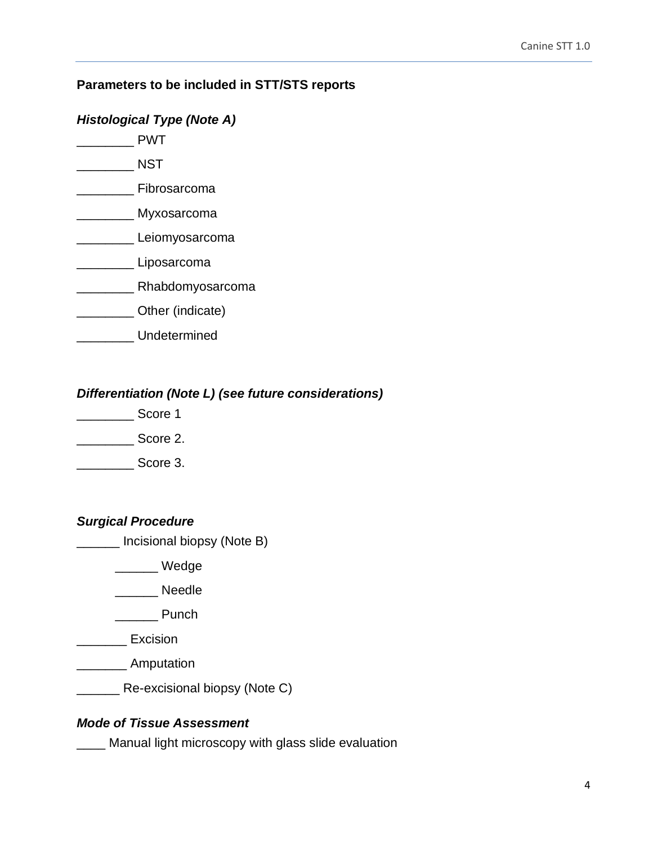## <span id="page-3-0"></span>**Parameters to be included in STT/STS reports**

#### <span id="page-3-1"></span>*Histological Type (Note A)*

- \_\_\_\_\_\_\_\_ PWT
- \_\_\_\_\_\_\_\_ NST
- \_\_\_\_\_\_\_\_ Fibrosarcoma
- \_\_\_\_\_\_\_\_ Myxosarcoma
- Leiomyosarcoma
- \_\_\_\_\_\_\_\_ Liposarcoma
- \_\_\_\_\_\_\_\_ Rhabdomyosarcoma
- \_\_\_\_\_\_\_\_ Other (indicate)
- \_\_\_\_\_\_\_\_ Undetermined

## <span id="page-3-2"></span>*Differentiation (Note L) (see future considerations)*

- \_\_\_\_\_\_\_\_ Score 1
- $\sim$  Score 2.

\_\_\_\_\_\_\_\_ Score 3.

## <span id="page-3-3"></span>*Surgical Procedure*

\_\_\_\_\_\_ Incisional biopsy (Note B)

\_\_\_\_\_\_ Wedge

\_\_\_\_\_\_\_ Needle

\_\_\_\_\_\_ Punch

\_\_\_\_\_\_\_ Excision

\_\_\_\_\_\_\_ Amputation

\_\_\_\_\_\_ Re-excisional biopsy (Note C)

#### <span id="page-3-4"></span>*Mode of Tissue Assessment*

**\_\_\_\_** Manual light microscopy with glass slide evaluation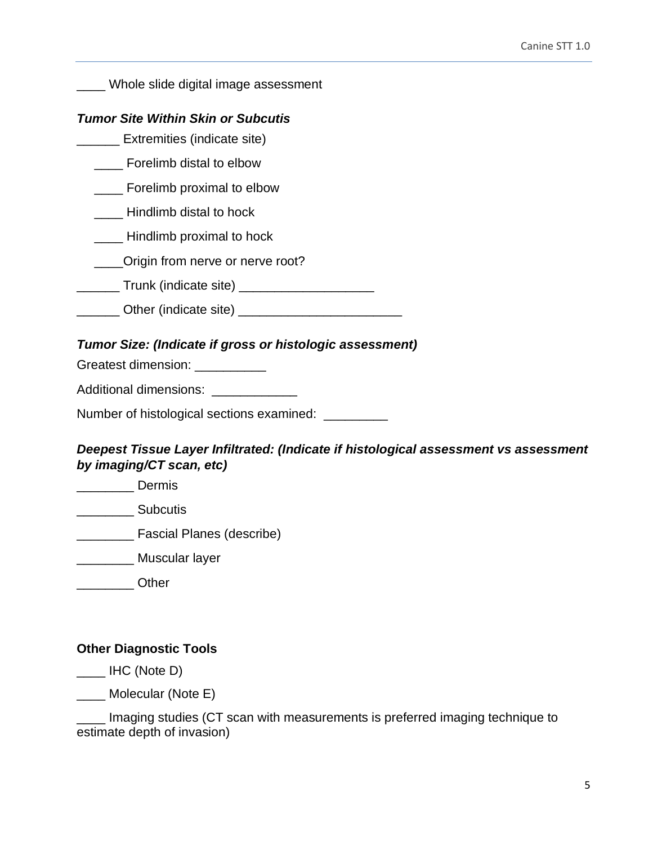\_\_\_\_ Whole slide digital image assessment

#### <span id="page-4-0"></span>*Tumor Site Within Skin or Subcutis*

\_\_\_\_\_\_ Extremities (indicate site)

\_\_\_\_ Forelimb distal to elbow

**\_\_\_\_** Forelimb proximal to elbow

- \_\_\_\_ Hindlimb distal to hock
- \_\_\_\_ Hindlimb proximal to hock
- \_\_\_\_Origin from nerve or nerve root?
- \_\_\_\_\_\_\_\_ Trunk (indicate site) \_\_\_\_\_\_\_\_\_\_\_\_\_\_\_\_\_\_\_\_\_\_\_\_
- \_\_\_\_\_\_ Other (indicate site) \_\_\_\_\_\_\_\_\_\_\_\_\_\_\_\_\_\_\_\_\_\_\_

#### <span id="page-4-1"></span>*Tumor Size: (Indicate if gross or histologic assessment)*

Greatest dimension: \_\_\_\_\_\_\_\_\_\_\_

Additional dimensions: \_\_\_\_\_\_\_\_\_\_\_\_

Number of histological sections examined: \_\_\_\_\_\_\_\_\_

## <span id="page-4-2"></span>*Deepest Tissue Layer Infiltrated: (Indicate if histological assessment vs assessment by imaging/CT scan, etc)*

\_\_\_\_\_\_\_\_ Dermis

\_\_\_\_\_\_\_\_ Subcutis

- \_\_\_\_\_\_\_\_ Fascial Planes (describe)
- \_\_\_\_\_\_\_\_ Muscular layer
- \_\_\_\_\_\_\_\_ Other

#### <span id="page-4-3"></span>**Other Diagnostic Tools**

 $\_\_\_\$  IHC (Note D)

\_\_\_\_ Molecular (Note E)

Imaging studies (CT scan with measurements is preferred imaging technique to estimate depth of invasion)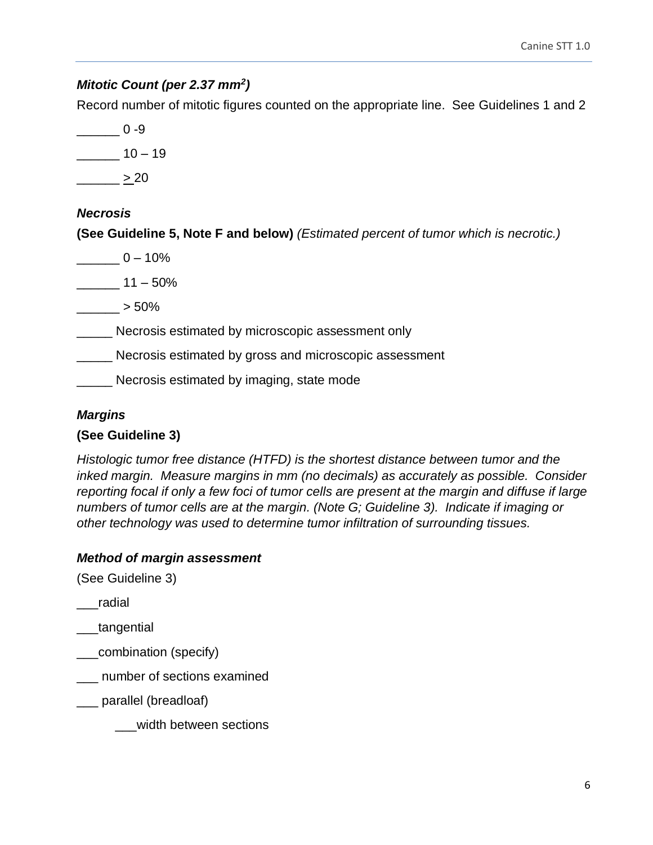# <span id="page-5-0"></span>*Mitotic Count (per 2.37 mm<sup>2</sup> )*

Record number of mitotic figures counted on the appropriate line. See Guidelines 1 and 2

 $-$  0 -9  $\frac{10 - 19}{2}$  $\frac{20}{2}$ 

# <span id="page-5-1"></span>*Necrosis*

**(See Guideline 5, Note F and below)** *(Estimated percent of tumor which is necrotic.)* 

 $0 - 10\%$  $11 - 50\%$ \_\_\_\_\_\_ > 50% Necrosis estimated by microscopic assessment only \_\_\_\_\_ Necrosis estimated by gross and microscopic assessment **Necrosis estimated by imaging, state mode** 

# <span id="page-5-2"></span>*Margins*

# **(See Guideline 3)**

*Histologic tumor free distance (HTFD) is the shortest distance between tumor and the inked margin. Measure margins in mm (no decimals) as accurately as possible. Consider reporting focal if only a few foci of tumor cells are present at the margin and diffuse if large numbers of tumor cells are at the margin. (Note G; Guideline 3). Indicate if imaging or other technology was used to determine tumor infiltration of surrounding tissues.* 

# <span id="page-5-3"></span>*Method of margin assessment*

(See Guideline 3)

\_\_\_radial

- \_\_\_tangential
- \_\_\_combination (specify)
- \_\_\_ number of sections examined

\_\_\_ parallel (breadloaf)

\_\_\_width between sections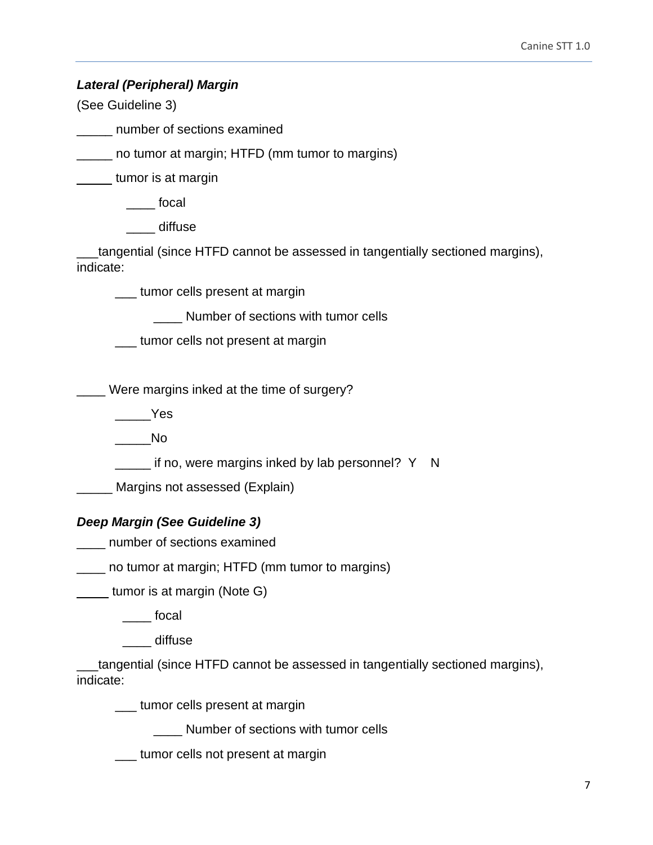<span id="page-6-0"></span>*Lateral (Peripheral) Margin* 

(See Guideline 3)

\_\_\_\_\_ number of sections examined

\_\_\_\_\_ no tumor at margin; HTFD (mm tumor to margins)

tumor is at margin

\_\_\_\_ focal

\_\_\_\_ diffuse

\_\_\_tangential (since HTFD cannot be assessed in tangentially sectioned margins), indicate:

\_\_\_ tumor cells present at margin

\_\_\_\_ Number of sections with tumor cells

\_\_\_ tumor cells not present at margin

\_\_\_\_ Were margins inked at the time of surgery?

 $\rule{1em}{0.15mm}$  Yes

\_\_\_\_\_No

\_\_\_\_ if no, were margins inked by lab personnel? Y N

**EXAGE Margins not assessed (Explain)** 

# <span id="page-6-1"></span>*Deep Margin (See Guideline 3)*

\_\_\_\_ number of sections examined

\_\_\_\_ no tumor at margin; HTFD (mm tumor to margins)

**tumor is at margin (Note G)** 

\_\_\_\_ focal

\_\_\_\_ diffuse

\_\_\_tangential (since HTFD cannot be assessed in tangentially sectioned margins), indicate:

\_\_\_ tumor cells present at margin

\_\_\_\_ Number of sections with tumor cells

\_\_\_ tumor cells not present at margin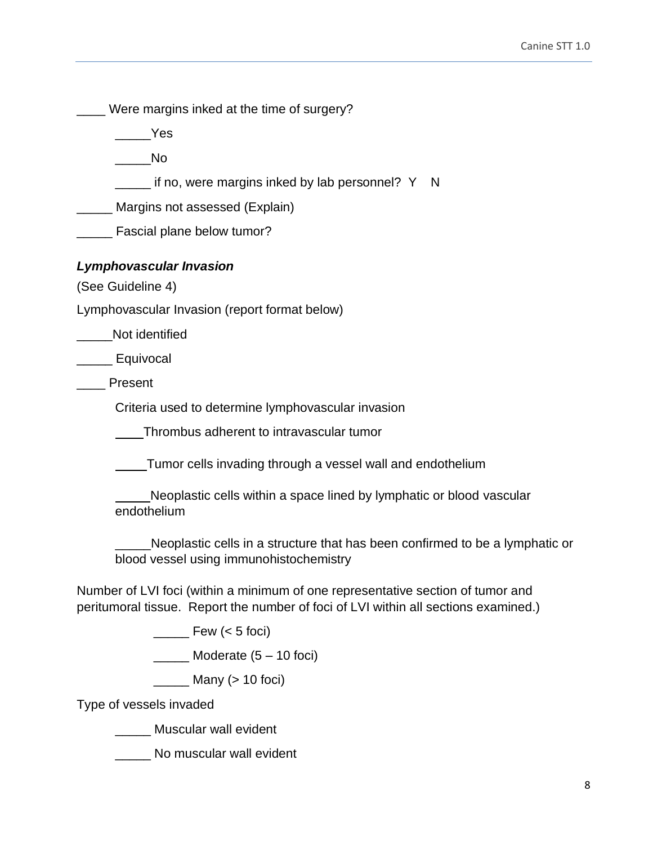\_\_\_\_ Were margins inked at the time of surgery?

\_\_\_\_\_Yes

\_\_\_\_\_No

if no, were margins inked by lab personnel?  $Y \times N$ 

**Margins not assessed (Explain)** 

**Exercial plane below tumor?** 

## <span id="page-7-0"></span>*Lymphovascular Invasion*

(See Guideline 4)

Lymphovascular Invasion (report format below)

Not identified

\_\_\_\_\_ Equivocal

\_\_\_\_ Present

Criteria used to determine lymphovascular invasion

Thrombus adherent to intravascular tumor

Tumor cells invading through a vessel wall and endothelium

 Neoplastic cells within a space lined by lymphatic or blood vascular endothelium

Neoplastic cells in a structure that has been confirmed to be a lymphatic or blood vessel using immunohistochemistry

Number of LVI foci (within a minimum of one representative section of tumor and peritumoral tissue. Report the number of foci of LVI within all sections examined.)

 $\frac{1}{\sqrt{2}}$  Few (< 5 foci)

 $\frac{1}{2}$  Moderate (5 – 10 foci)

\_\_\_\_\_ Many (> 10 foci)

Type of vessels invaded

\_\_\_\_\_ Muscular wall evident

No muscular wall evident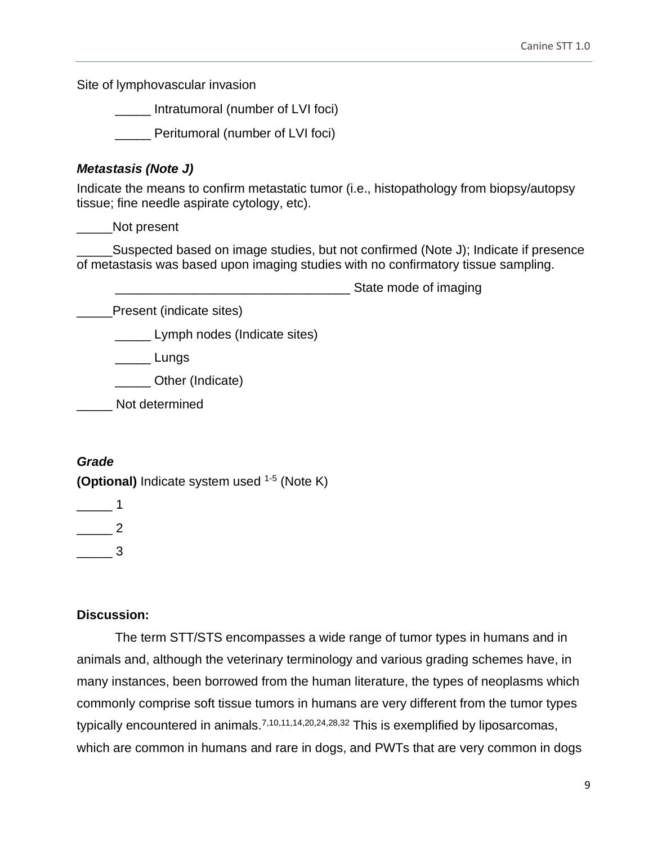Site of lymphovascular invasion

\_\_\_\_\_ Intratumoral (number of LVI foci)

\_\_\_\_\_ Peritumoral (number of LVI foci)

## <span id="page-8-0"></span>*Metastasis (Note J)*

Indicate the means to confirm metastatic tumor (i.e., histopathology from biopsy/autopsy tissue; fine needle aspirate cytology, etc).

\_\_\_\_\_Not present

Suspected based on image studies, but not confirmed (Note J); Indicate if presence of metastasis was based upon imaging studies with no confirmatory tissue sampling.

State mode of imaging

Present (indicate sites)

**Lymph nodes (Indicate sites)** 

\_\_\_\_\_ Lungs

\_\_\_\_\_ Other (Indicate)

\_\_\_\_\_ Not determined

# <span id="page-8-1"></span>*Grade*

**(Optional)** Indicate system used 1-5 (Note K)

 $\overline{\phantom{0}}$  1

 $\overline{\phantom{a}}$  2

\_\_\_\_\_ 3

## <span id="page-8-2"></span>**Discussion:**

The term STT/STS encompasses a wide range of tumor types in humans and in animals and, although the veterinary terminology and various grading schemes have, in many instances, been borrowed from the human literature, the types of neoplasms which commonly comprise soft tissue tumors in humans are very different from the tumor types typically encountered in animals.<sup>7,10,11,14,20,24,28,32</sup> This is exemplified by liposarcomas, which are common in humans and rare in dogs, and PWTs that are very common in dogs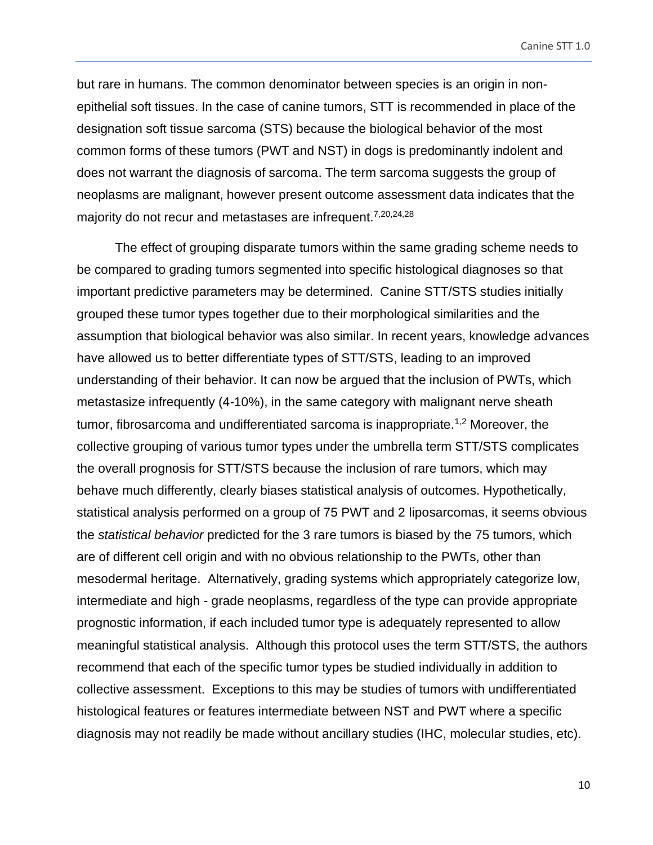but rare in humans. The common denominator between species is an origin in nonepithelial soft tissues. In the case of canine tumors, STT is recommended in place of the designation soft tissue sarcoma (STS) because the biological behavior of the most common forms of these tumors (PWT and NST) in dogs is predominantly indolent and does not warrant the diagnosis of sarcoma. The term sarcoma suggests the group of neoplasms are malignant, however present outcome assessment data indicates that the majority do not recur and metastases are infrequent.<sup>7,20,24,28</sup>

The effect of grouping disparate tumors within the same grading scheme needs to be compared to grading tumors segmented into specific histological diagnoses so that important predictive parameters may be determined. Canine STT/STS studies initially grouped these tumor types together due to their morphological similarities and the assumption that biological behavior was also similar. In recent years, knowledge advances have allowed us to better differentiate types of STT/STS, leading to an improved understanding of their behavior. It can now be argued that the inclusion of PWTs, which metastasize infrequently (4-10%), in the same category with malignant nerve sheath tumor, fibrosarcoma and undifferentiated sarcoma is inappropriate.<sup>1,2</sup> Moreover, the collective grouping of various tumor types under the umbrella term STT/STS complicates the overall prognosis for STT/STS because the inclusion of rare tumors, which may behave much differently, clearly biases statistical analysis of outcomes. Hypothetically, statistical analysis performed on a group of 75 PWT and 2 liposarcomas, it seems obvious the *statistical behavior* predicted for the 3 rare tumors is biased by the 75 tumors, which are of different cell origin and with no obvious relationship to the PWTs, other than mesodermal heritage. Alternatively, grading systems which appropriately categorize low, intermediate and high - grade neoplasms, regardless of the type can provide appropriate prognostic information, if each included tumor type is adequately represented to allow meaningful statistical analysis. Although this protocol uses the term STT/STS, the authors recommend that each of the specific tumor types be studied individually in addition to collective assessment. Exceptions to this may be studies of tumors with undifferentiated histological features or features intermediate between NST and PWT where a specific diagnosis may not readily be made without ancillary studies (IHC, molecular studies, etc).

10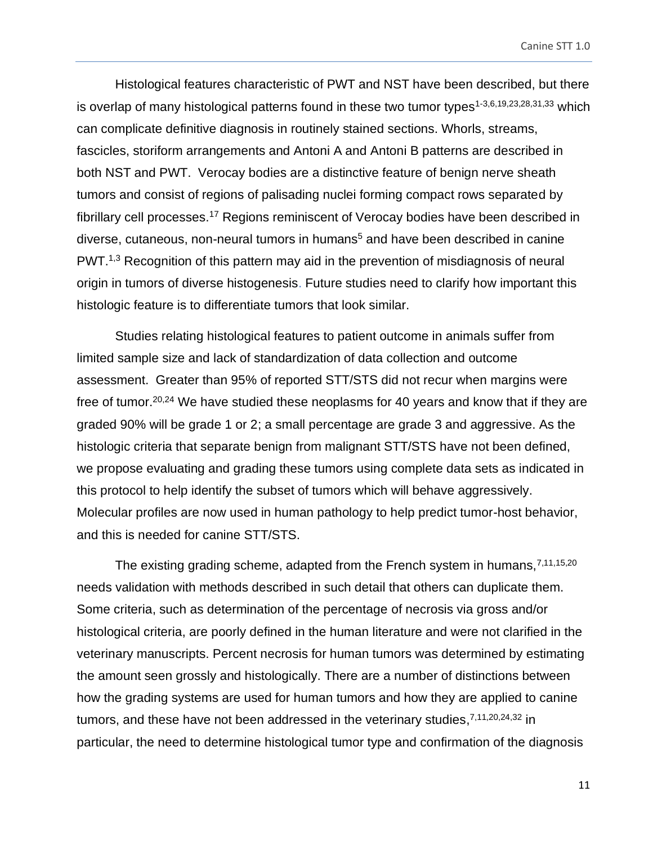Histological features characteristic of PWT and NST have been described, but there is overlap of many histological patterns found in these two tumor types<sup>1-3,6,19,23,28,31,33</sup> which can complicate definitive diagnosis in routinely stained sections. Whorls, streams, fascicles, storiform arrangements and Antoni A and Antoni B patterns are described in both NST and PWT. Verocay bodies are a distinctive feature of benign nerve sheath tumors and consist of regions of palisading nuclei forming compact rows separated by fibrillary cell processes.<sup>17</sup> Regions reminiscent of Verocay bodies have been described in  $diverse$ , cutaneous, non-neural tumors in humans<sup>5</sup> and have been described in canine PWT.<sup>1,3</sup> Recognition of this pattern may aid in the prevention of misdiagnosis of neural origin in tumors of diverse histogenesis. Future studies need to clarify how important this histologic feature is to differentiate tumors that look similar.

Studies relating histological features to patient outcome in animals suffer from limited sample size and lack of standardization of data collection and outcome assessment. Greater than 95% of reported STT/STS did not recur when margins were free of tumor.20,24 We have studied these neoplasms for 40 years and know that if they are graded 90% will be grade 1 or 2; a small percentage are grade 3 and aggressive. As the histologic criteria that separate benign from malignant STT/STS have not been defined, we propose evaluating and grading these tumors using complete data sets as indicated in this protocol to help identify the subset of tumors which will behave aggressively. Molecular profiles are now used in human pathology to help predict tumor-host behavior, and this is needed for canine STT/STS.

The existing grading scheme, adapted from the French system in humans,  $7,11,15,20$ needs validation with methods described in such detail that others can duplicate them. Some criteria, such as determination of the percentage of necrosis via gross and/or histological criteria, are poorly defined in the human literature and were not clarified in the veterinary manuscripts. Percent necrosis for human tumors was determined by estimating the amount seen grossly and histologically. There are a number of distinctions between how the grading systems are used for human tumors and how they are applied to canine tumors, and these have not been addressed in the veterinary studies,  $7,11,20,24,32$  in particular, the need to determine histological tumor type and confirmation of the diagnosis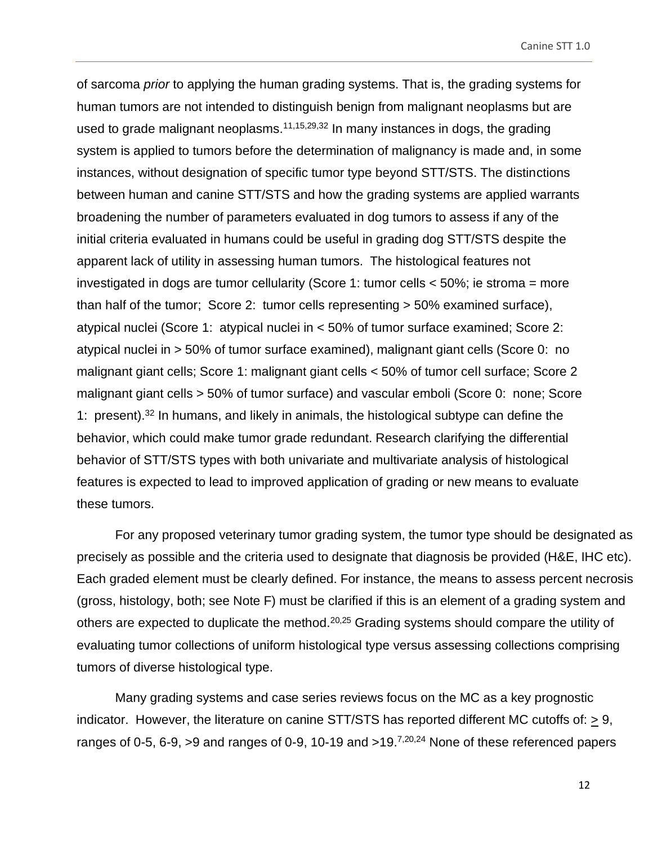of sarcoma *prior* to applying the human grading systems. That is, the grading systems for human tumors are not intended to distinguish benign from malignant neoplasms but are used to grade malignant neoplasms.<sup>11,15,29,32</sup> In many instances in dogs, the grading system is applied to tumors before the determination of malignancy is made and, in some instances, without designation of specific tumor type beyond STT/STS. The distinctions between human and canine STT/STS and how the grading systems are applied warrants broadening the number of parameters evaluated in dog tumors to assess if any of the initial criteria evaluated in humans could be useful in grading dog STT/STS despite the apparent lack of utility in assessing human tumors. The histological features not investigated in dogs are tumor cellularity (Score 1: tumor cells < 50%; ie stroma = more than half of the tumor; Score 2: tumor cells representing > 50% examined surface), atypical nuclei (Score 1: atypical nuclei in < 50% of tumor surface examined; Score 2: atypical nuclei in > 50% of tumor surface examined), malignant giant cells (Score 0: no malignant giant cells; Score 1: malignant giant cells < 50% of tumor cell surface; Score 2 malignant giant cells > 50% of tumor surface) and vascular emboli (Score 0: none; Score 1: present).<sup>32</sup> In humans, and likely in animals, the histological subtype can define the behavior, which could make tumor grade redundant. Research clarifying the differential behavior of STT/STS types with both univariate and multivariate analysis of histological features is expected to lead to improved application of grading or new means to evaluate these tumors.

For any proposed veterinary tumor grading system, the tumor type should be designated as precisely as possible and the criteria used to designate that diagnosis be provided (H&E, IHC etc). Each graded element must be clearly defined. For instance, the means to assess percent necrosis (gross, histology, both; see Note F) must be clarified if this is an element of a grading system and others are expected to duplicate the method.<sup>20,25</sup> Grading systems should compare the utility of evaluating tumor collections of uniform histological type versus assessing collections comprising tumors of diverse histological type.

Many grading systems and case series reviews focus on the MC as a key prognostic indicator. However, the literature on canine STT/STS has reported different MC cutoffs of: > 9, ranges of 0-5, 6-9, >9 and ranges of 0-9, 10-19 and >19.<sup>7,20,24</sup> None of these referenced papers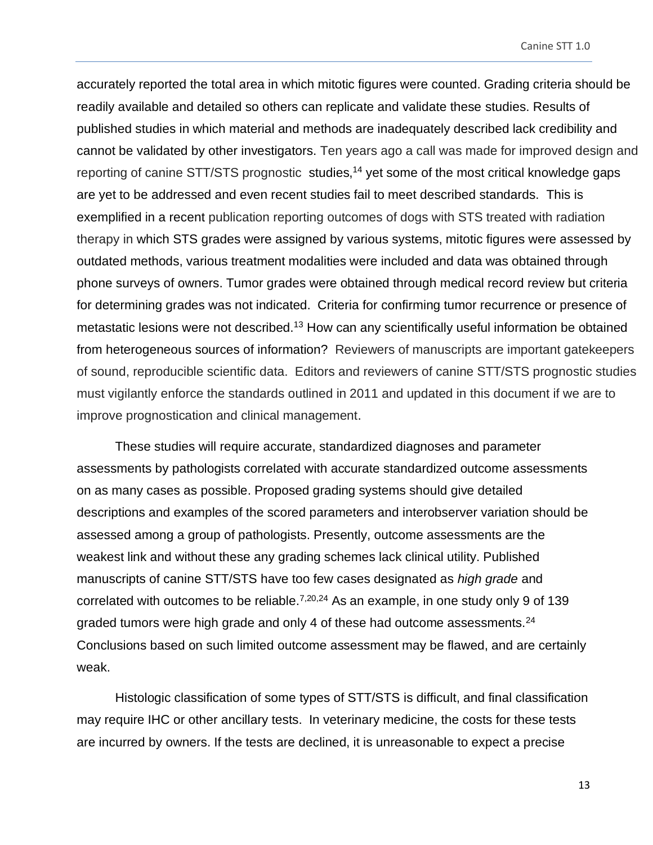accurately reported the total area in which mitotic figures were counted. Grading criteria should be readily available and detailed so others can replicate and validate these studies. Results of published studies in which material and methods are inadequately described lack credibility and cannot be validated by other investigators. Ten years ago a call was made for improved design and reporting of canine STT/STS prognostic studies,<sup>14</sup> yet some of the most critical knowledge gaps are yet to be addressed and even recent studies fail to meet described standards. This is exemplified in a recent publication reporting outcomes of dogs with STS treated with radiation therapy in which STS grades were assigned by various systems, mitotic figures were assessed by outdated methods, various treatment modalities were included and data was obtained through phone surveys of owners. Tumor grades were obtained through medical record review but criteria for determining grades was not indicated. Criteria for confirming tumor recurrence or presence of metastatic lesions were not described.<sup>13</sup> How can any scientifically useful information be obtained from heterogeneous sources of information? Reviewers of manuscripts are important gatekeepers of sound, reproducible scientific data. Editors and reviewers of canine STT/STS prognostic studies must vigilantly enforce the standards outlined in 2011 and updated in this document if we are to improve prognostication and clinical management.

These studies will require accurate, standardized diagnoses and parameter assessments by pathologists correlated with accurate standardized outcome assessments on as many cases as possible. Proposed grading systems should give detailed descriptions and examples of the scored parameters and interobserver variation should be assessed among a group of pathologists. Presently, outcome assessments are the weakest link and without these any grading schemes lack clinical utility. Published manuscripts of canine STT/STS have too few cases designated as *high grade* and correlated with outcomes to be reliable.<sup>7,20,24</sup> As an example, in one study only 9 of 139 graded tumors were high grade and only 4 of these had outcome assessments.<sup>24</sup> Conclusions based on such limited outcome assessment may be flawed, and are certainly weak.

Histologic classification of some types of STT/STS is difficult, and final classification may require IHC or other ancillary tests. In veterinary medicine, the costs for these tests are incurred by owners. If the tests are declined, it is unreasonable to expect a precise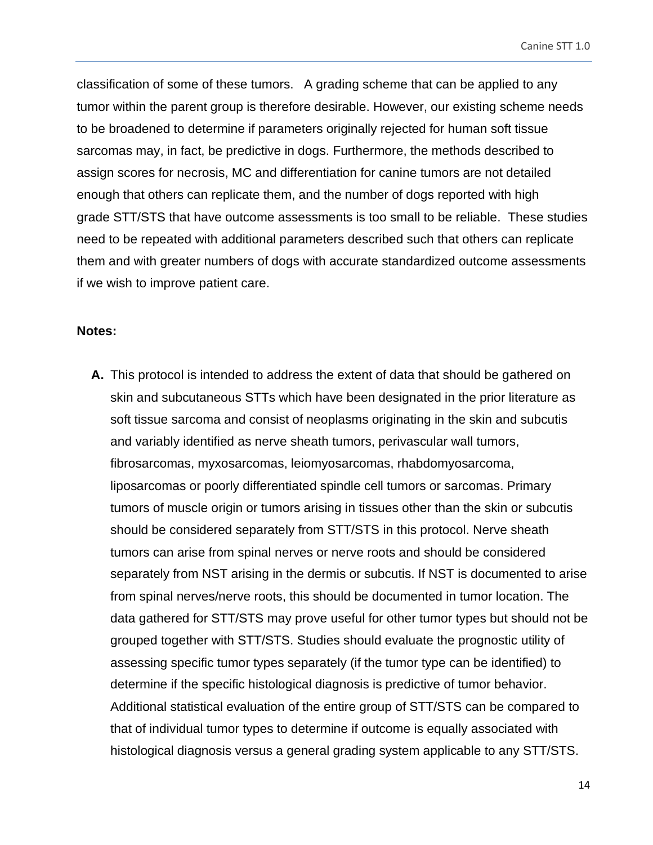Canine STT 1.0

classification of some of these tumors. A grading scheme that can be applied to any tumor within the parent group is therefore desirable. However, our existing scheme needs to be broadened to determine if parameters originally rejected for human soft tissue sarcomas may, in fact, be predictive in dogs. Furthermore, the methods described to assign scores for necrosis, MC and differentiation for canine tumors are not detailed enough that others can replicate them, and the number of dogs reported with high grade STT/STS that have outcome assessments is too small to be reliable. These studies need to be repeated with additional parameters described such that others can replicate them and with greater numbers of dogs with accurate standardized outcome assessments if we wish to improve patient care.

#### <span id="page-13-0"></span>**Notes:**

**A.** This protocol is intended to address the extent of data that should be gathered on skin and subcutaneous STTs which have been designated in the prior literature as soft tissue sarcoma and consist of neoplasms originating in the skin and subcutis and variably identified as nerve sheath tumors, perivascular wall tumors, fibrosarcomas, myxosarcomas, leiomyosarcomas, rhabdomyosarcoma, liposarcomas or poorly differentiated spindle cell tumors or sarcomas. Primary tumors of muscle origin or tumors arising in tissues other than the skin or subcutis should be considered separately from STT/STS in this protocol. Nerve sheath tumors can arise from spinal nerves or nerve roots and should be considered separately from NST arising in the dermis or subcutis. If NST is documented to arise from spinal nerves/nerve roots, this should be documented in tumor location. The data gathered for STT/STS may prove useful for other tumor types but should not be grouped together with STT/STS. Studies should evaluate the prognostic utility of assessing specific tumor types separately (if the tumor type can be identified) to determine if the specific histological diagnosis is predictive of tumor behavior. Additional statistical evaluation of the entire group of STT/STS can be compared to that of individual tumor types to determine if outcome is equally associated with histological diagnosis versus a general grading system applicable to any STT/STS.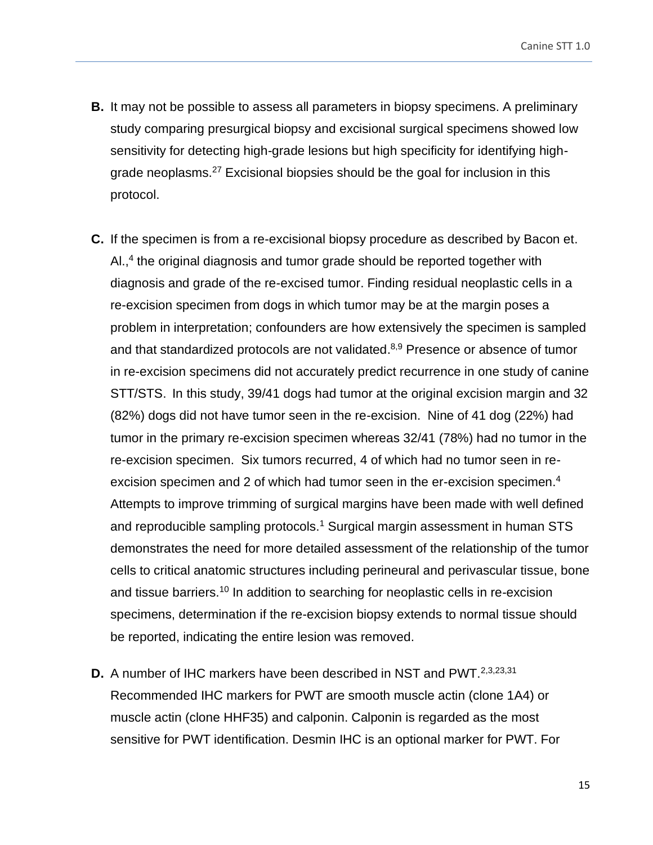- **B.** It may not be possible to assess all parameters in biopsy specimens. A preliminary study comparing presurgical biopsy and excisional surgical specimens showed low sensitivity for detecting high-grade lesions but high specificity for identifying highgrade neoplasms.<sup>27</sup> Excisional biopsies should be the goal for inclusion in this protocol.
- **C.** If the specimen is from a re-excisional biopsy procedure as described by Bacon et. Al., 4 the original diagnosis and tumor grade should be reported together with diagnosis and grade of the re-excised tumor. Finding residual neoplastic cells in a re-excision specimen from dogs in which tumor may be at the margin poses a problem in interpretation; confounders are how extensively the specimen is sampled and that standardized protocols are not validated.<sup>8,9</sup> Presence or absence of tumor in re-excision specimens did not accurately predict recurrence in one study of canine STT/STS. In this study, 39/41 dogs had tumor at the original excision margin and 32 (82%) dogs did not have tumor seen in the re-excision. Nine of 41 dog (22%) had tumor in the primary re-excision specimen whereas 32/41 (78%) had no tumor in the re-excision specimen. Six tumors recurred, 4 of which had no tumor seen in reexcision specimen and 2 of which had tumor seen in the er-excision specimen.<sup>4</sup> Attempts to improve trimming of surgical margins have been made with well defined and reproducible sampling protocols.<sup>1</sup> Surgical margin assessment in human STS demonstrates the need for more detailed assessment of the relationship of the tumor cells to critical anatomic structures including perineural and perivascular tissue, bone and tissue barriers.<sup>10</sup> In addition to searching for neoplastic cells in re-excision specimens, determination if the re-excision biopsy extends to normal tissue should be reported, indicating the entire lesion was removed.
- **D.** A number of IHC markers have been described in NST and PWT.<sup>2,3,23,31</sup> Recommended IHC markers for PWT are smooth muscle actin (clone 1A4) or muscle actin (clone HHF35) and calponin. Calponin is regarded as the most sensitive for PWT identification. Desmin IHC is an optional marker for PWT. For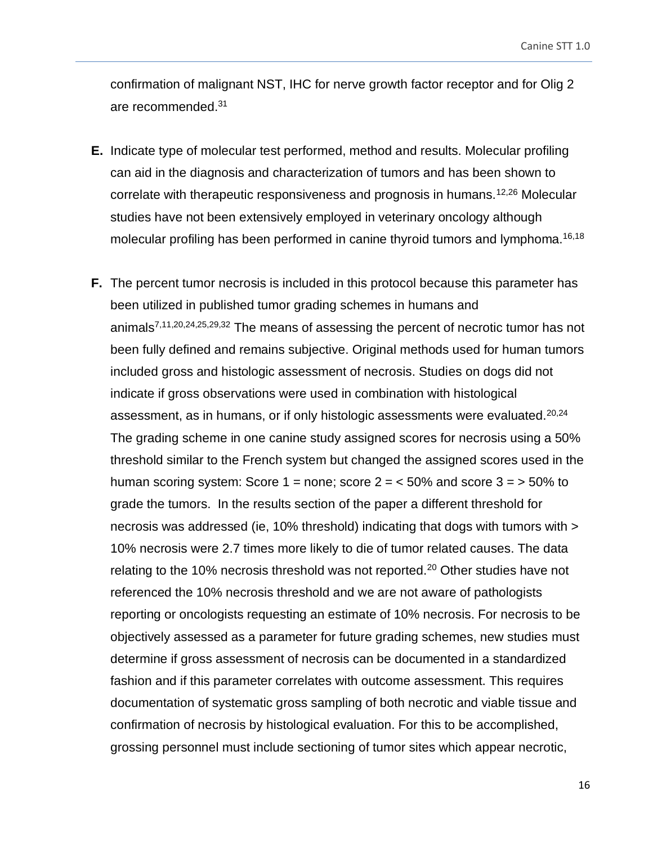confirmation of malignant NST, IHC for nerve growth factor receptor and for Olig 2 are recommended.<sup>31</sup>

- **E.** Indicate type of molecular test performed, method and results. Molecular profiling can aid in the diagnosis and characterization of tumors and has been shown to correlate with therapeutic responsiveness and prognosis in humans.<sup>12,26</sup> Molecular studies have not been extensively employed in veterinary oncology although molecular profiling has been performed in canine thyroid tumors and lymphoma.<sup>16,18</sup>
- **F.** The percent tumor necrosis is included in this protocol because this parameter has been utilized in published tumor grading schemes in humans and animals7,11,20,24,25,29,32 The means of assessing the percent of necrotic tumor has not been fully defined and remains subjective. Original methods used for human tumors included gross and histologic assessment of necrosis. Studies on dogs did not indicate if gross observations were used in combination with histological assessment, as in humans, or if only histologic assessments were evaluated.<sup>20,24</sup> The grading scheme in one canine study assigned scores for necrosis using a 50% threshold similar to the French system but changed the assigned scores used in the human scoring system: Score 1 = none; score  $2 = 50\%$  and score  $3 = 50\%$  to grade the tumors. In the results section of the paper a different threshold for necrosis was addressed (ie, 10% threshold) indicating that dogs with tumors with > 10% necrosis were 2.7 times more likely to die of tumor related causes. The data relating to the 10% necrosis threshold was not reported.<sup>20</sup> Other studies have not referenced the 10% necrosis threshold and we are not aware of pathologists reporting or oncologists requesting an estimate of 10% necrosis. For necrosis to be objectively assessed as a parameter for future grading schemes, new studies must determine if gross assessment of necrosis can be documented in a standardized fashion and if this parameter correlates with outcome assessment. This requires documentation of systematic gross sampling of both necrotic and viable tissue and confirmation of necrosis by histological evaluation. For this to be accomplished, grossing personnel must include sectioning of tumor sites which appear necrotic,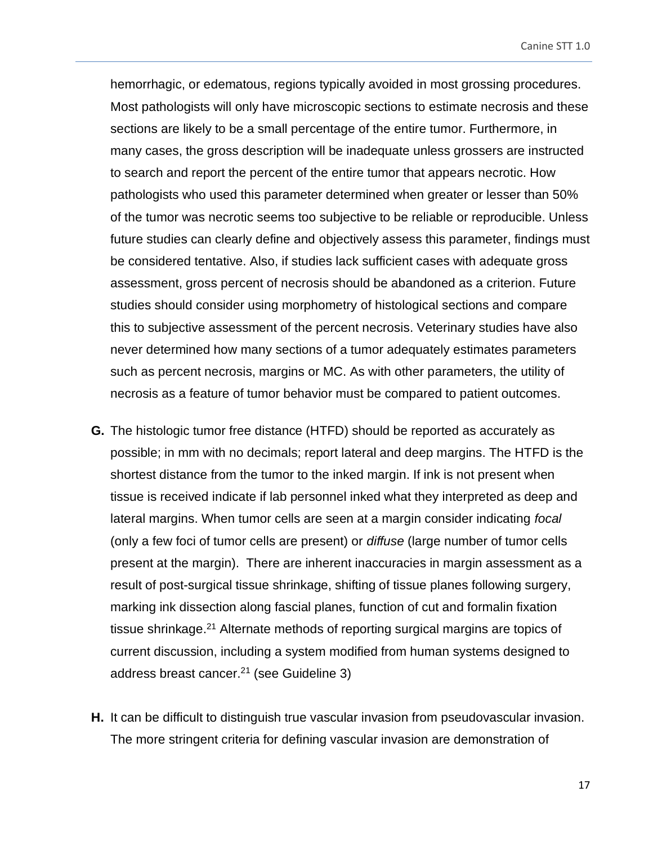hemorrhagic, or edematous, regions typically avoided in most grossing procedures. Most pathologists will only have microscopic sections to estimate necrosis and these sections are likely to be a small percentage of the entire tumor. Furthermore, in many cases, the gross description will be inadequate unless grossers are instructed to search and report the percent of the entire tumor that appears necrotic. How pathologists who used this parameter determined when greater or lesser than 50% of the tumor was necrotic seems too subjective to be reliable or reproducible. Unless future studies can clearly define and objectively assess this parameter, findings must be considered tentative. Also, if studies lack sufficient cases with adequate gross assessment, gross percent of necrosis should be abandoned as a criterion. Future studies should consider using morphometry of histological sections and compare this to subjective assessment of the percent necrosis. Veterinary studies have also never determined how many sections of a tumor adequately estimates parameters such as percent necrosis, margins or MC. As with other parameters, the utility of necrosis as a feature of tumor behavior must be compared to patient outcomes.

- **G.** The histologic tumor free distance (HTFD) should be reported as accurately as possible; in mm with no decimals; report lateral and deep margins. The HTFD is the shortest distance from the tumor to the inked margin. If ink is not present when tissue is received indicate if lab personnel inked what they interpreted as deep and lateral margins. When tumor cells are seen at a margin consider indicating *focal* (only a few foci of tumor cells are present) or *diffuse* (large number of tumor cells present at the margin). There are inherent inaccuracies in margin assessment as a result of post-surgical tissue shrinkage, shifting of tissue planes following surgery, marking ink dissection along fascial planes, function of cut and formalin fixation tissue shrinkage.<sup>21</sup> Alternate methods of reporting surgical margins are topics of current discussion, including a system modified from human systems designed to address breast cancer.<sup>21</sup> (see Guideline 3)
- **H.** It can be difficult to distinguish true vascular invasion from pseudovascular invasion. The more stringent criteria for defining vascular invasion are demonstration of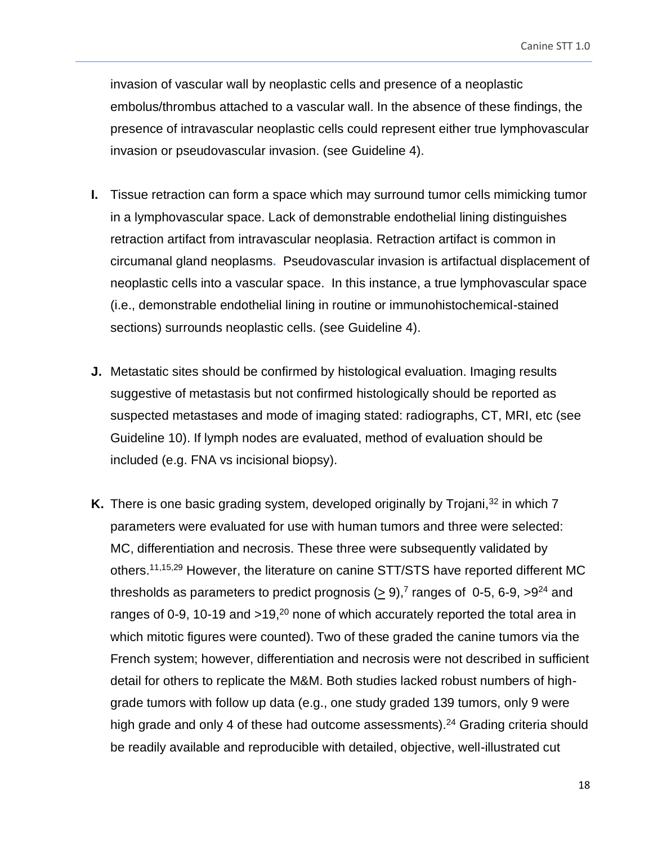invasion of vascular wall by neoplastic cells and presence of a neoplastic embolus/thrombus attached to a vascular wall. In the absence of these findings, the presence of intravascular neoplastic cells could represent either true lymphovascular invasion or pseudovascular invasion. (see Guideline 4).

- **I.** Tissue retraction can form a space which may surround tumor cells mimicking tumor in a lymphovascular space. Lack of demonstrable endothelial lining distinguishes retraction artifact from intravascular neoplasia. Retraction artifact is common in circumanal gland neoplasms**.** Pseudovascular invasion is artifactual displacement of neoplastic cells into a vascular space. In this instance, a true lymphovascular space (i.e., demonstrable endothelial lining in routine or immunohistochemical-stained sections) surrounds neoplastic cells. (see Guideline 4).
- **J.** Metastatic sites should be confirmed by histological evaluation. Imaging results suggestive of metastasis but not confirmed histologically should be reported as suspected metastases and mode of imaging stated: radiographs, CT, MRI, etc (see Guideline 10). If lymph nodes are evaluated, method of evaluation should be included (e.g. FNA vs incisional biopsy).
- **K.** There is one basic grading system, developed originally by Trojani,<sup>32</sup> in which 7 parameters were evaluated for use with human tumors and three were selected: MC, differentiation and necrosis. These three were subsequently validated by others.11,15,29 However, the literature on canine STT/STS have reported different MC thresholds as parameters to predict prognosis ( $\geq 9$ ),<sup>7</sup> ranges of 0-5, 6-9,  $>9^{24}$  and ranges of 0-9, 10-19 and >19,<sup>20</sup> none of which accurately reported the total area in which mitotic figures were counted). Two of these graded the canine tumors via the French system; however, differentiation and necrosis were not described in sufficient detail for others to replicate the M&M. Both studies lacked robust numbers of highgrade tumors with follow up data (e.g., one study graded 139 tumors, only 9 were high grade and only 4 of these had outcome assessments).<sup>24</sup> Grading criteria should be readily available and reproducible with detailed, objective, well-illustrated cut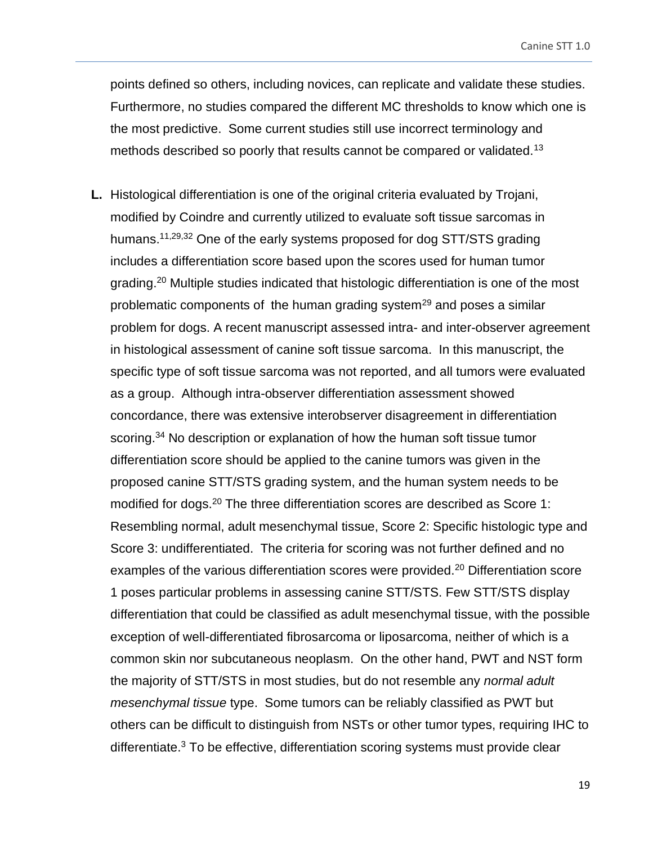points defined so others, including novices, can replicate and validate these studies. Furthermore, no studies compared the different MC thresholds to know which one is the most predictive. Some current studies still use incorrect terminology and methods described so poorly that results cannot be compared or validated.<sup>13</sup>

**L.** Histological differentiation is one of the original criteria evaluated by Trojani, modified by Coindre and currently utilized to evaluate soft tissue sarcomas in humans.<sup>11,29,32</sup> One of the early systems proposed for dog STT/STS grading includes a differentiation score based upon the scores used for human tumor grading.<sup>20</sup> Multiple studies indicated that histologic differentiation is one of the most problematic components of the human grading system<sup>29</sup> and poses a similar problem for dogs. A recent manuscript assessed intra- and inter-observer agreement in histological assessment of canine soft tissue sarcoma. In this manuscript, the specific type of soft tissue sarcoma was not reported, and all tumors were evaluated as a group. Although intra-observer differentiation assessment showed concordance, there was extensive interobserver disagreement in differentiation scoring.<sup>34</sup> No description or explanation of how the human soft tissue tumor differentiation score should be applied to the canine tumors was given in the proposed canine STT/STS grading system, and the human system needs to be modified for dogs.<sup>20</sup> The three differentiation scores are described as Score 1: Resembling normal, adult mesenchymal tissue, Score 2: Specific histologic type and Score 3: undifferentiated. The criteria for scoring was not further defined and no examples of the various differentiation scores were provided.<sup>20</sup> Differentiation score 1 poses particular problems in assessing canine STT/STS. Few STT/STS display differentiation that could be classified as adult mesenchymal tissue, with the possible exception of well-differentiated fibrosarcoma or liposarcoma, neither of which is a common skin nor subcutaneous neoplasm. On the other hand, PWT and NST form the majority of STT/STS in most studies, but do not resemble any *normal adult mesenchymal tissue* type. Some tumors can be reliably classified as PWT but others can be difficult to distinguish from NSTs or other tumor types, requiring IHC to differentiate.<sup>3</sup> To be effective, differentiation scoring systems must provide clear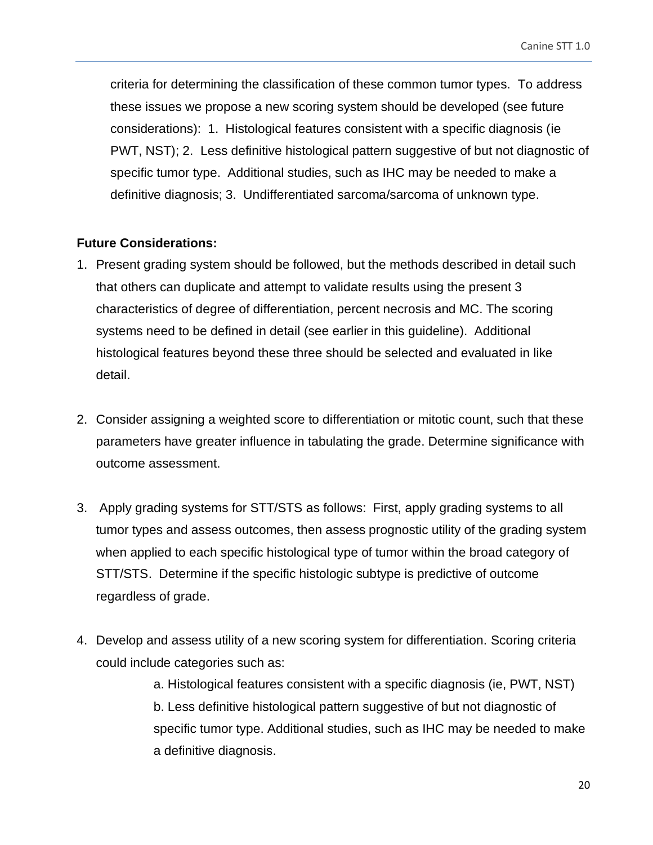criteria for determining the classification of these common tumor types. To address these issues we propose a new scoring system should be developed (see future considerations): 1. Histological features consistent with a specific diagnosis (ie PWT, NST); 2. Less definitive histological pattern suggestive of but not diagnostic of specific tumor type. Additional studies, such as IHC may be needed to make a definitive diagnosis; 3. Undifferentiated sarcoma/sarcoma of unknown type.

## <span id="page-19-0"></span>**Future Considerations:**

- 1. Present grading system should be followed, but the methods described in detail such that others can duplicate and attempt to validate results using the present 3 characteristics of degree of differentiation, percent necrosis and MC. The scoring systems need to be defined in detail (see earlier in this guideline). Additional histological features beyond these three should be selected and evaluated in like detail.
- 2. Consider assigning a weighted score to differentiation or mitotic count, such that these parameters have greater influence in tabulating the grade. Determine significance with outcome assessment.
- 3. Apply grading systems for STT/STS as follows: First, apply grading systems to all tumor types and assess outcomes, then assess prognostic utility of the grading system when applied to each specific histological type of tumor within the broad category of STT/STS. Determine if the specific histologic subtype is predictive of outcome regardless of grade.
- 4. Develop and assess utility of a new scoring system for differentiation. Scoring criteria could include categories such as:

a. Histological features consistent with a specific diagnosis (ie, PWT, NST) b. Less definitive histological pattern suggestive of but not diagnostic of specific tumor type. Additional studies, such as IHC may be needed to make a definitive diagnosis.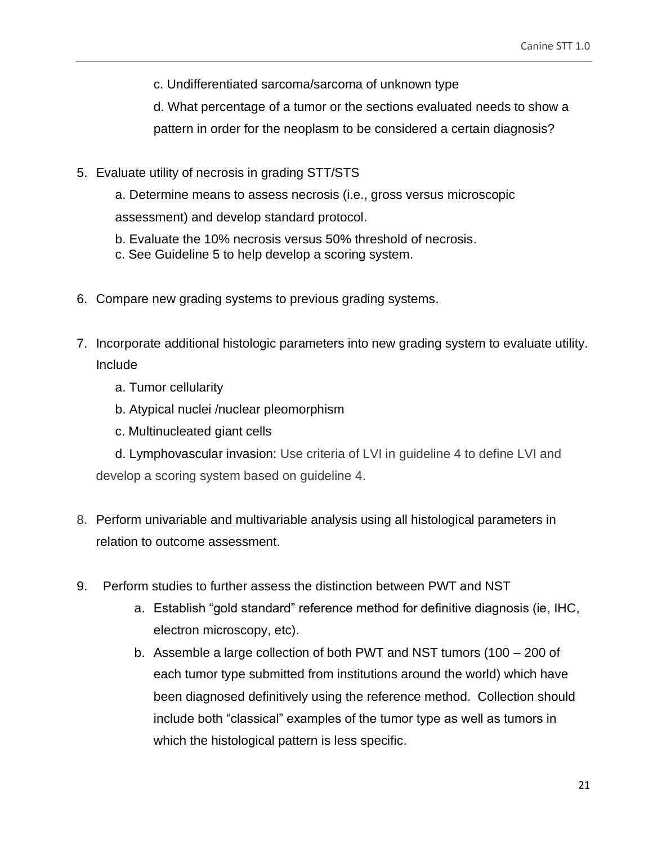c. Undifferentiated sarcoma/sarcoma of unknown type

d. What percentage of a tumor or the sections evaluated needs to show a pattern in order for the neoplasm to be considered a certain diagnosis?

5. Evaluate utility of necrosis in grading STT/STS

a. Determine means to assess necrosis (i.e., gross versus microscopic assessment) and develop standard protocol.

- b. Evaluate the 10% necrosis versus 50% threshold of necrosis.
- c. See Guideline 5 to help develop a scoring system.
- 6. Compare new grading systems to previous grading systems.
- 7. Incorporate additional histologic parameters into new grading system to evaluate utility. Include
	- a. Tumor cellularity
	- b. Atypical nuclei /nuclear pleomorphism
	- c. Multinucleated giant cells

d. Lymphovascular invasion: Use criteria of LVI in guideline 4 to define LVI and develop a scoring system based on guideline 4.

- 8. Perform univariable and multivariable analysis using all histological parameters in relation to outcome assessment.
- 9. Perform studies to further assess the distinction between PWT and NST
	- a. Establish "gold standard" reference method for definitive diagnosis (ie, IHC, electron microscopy, etc).
	- b. Assemble a large collection of both PWT and NST tumors (100 200 of each tumor type submitted from institutions around the world) which have been diagnosed definitively using the reference method. Collection should include both "classical" examples of the tumor type as well as tumors in which the histological pattern is less specific.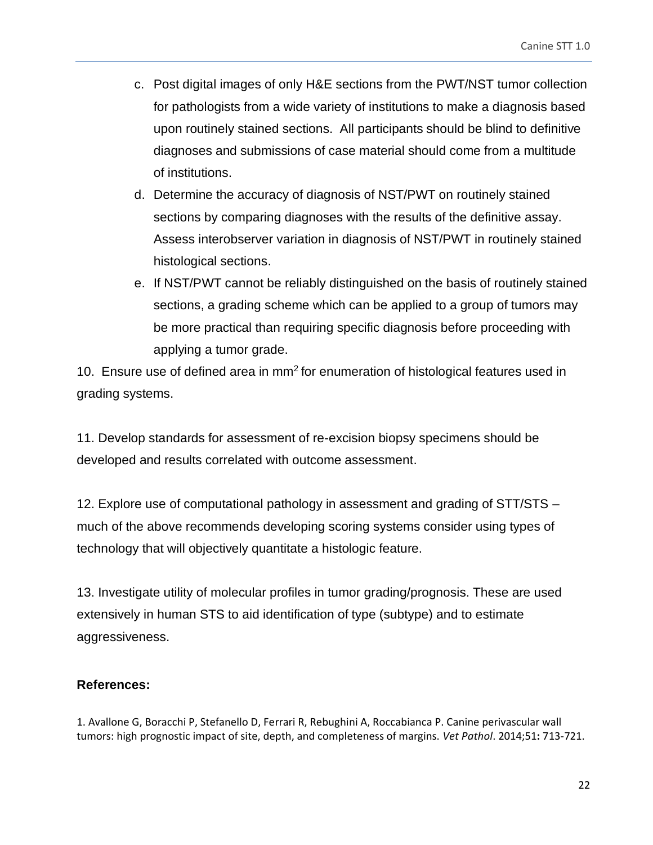- c. Post digital images of only H&E sections from the PWT/NST tumor collection for pathologists from a wide variety of institutions to make a diagnosis based upon routinely stained sections. All participants should be blind to definitive diagnoses and submissions of case material should come from a multitude of institutions.
- d. Determine the accuracy of diagnosis of NST/PWT on routinely stained sections by comparing diagnoses with the results of the definitive assay. Assess interobserver variation in diagnosis of NST/PWT in routinely stained histological sections.
- e. If NST/PWT cannot be reliably distinguished on the basis of routinely stained sections, a grading scheme which can be applied to a group of tumors may be more practical than requiring specific diagnosis before proceeding with applying a tumor grade.

10. Ensure use of defined area in  $mm<sup>2</sup>$  for enumeration of histological features used in grading systems.

11. Develop standards for assessment of re-excision biopsy specimens should be developed and results correlated with outcome assessment.

12. Explore use of computational pathology in assessment and grading of STT/STS – much of the above recommends developing scoring systems consider using types of technology that will objectively quantitate a histologic feature.

13. Investigate utility of molecular profiles in tumor grading/prognosis. These are used extensively in human STS to aid identification of type (subtype) and to estimate aggressiveness.

# <span id="page-21-0"></span>**References:**

1. Avallone G, Boracchi P, Stefanello D, Ferrari R, Rebughini A, Roccabianca P. Canine perivascular wall tumors: high prognostic impact of site, depth, and completeness of margins. *Vet Pathol*. 2014;51**:** 713-721.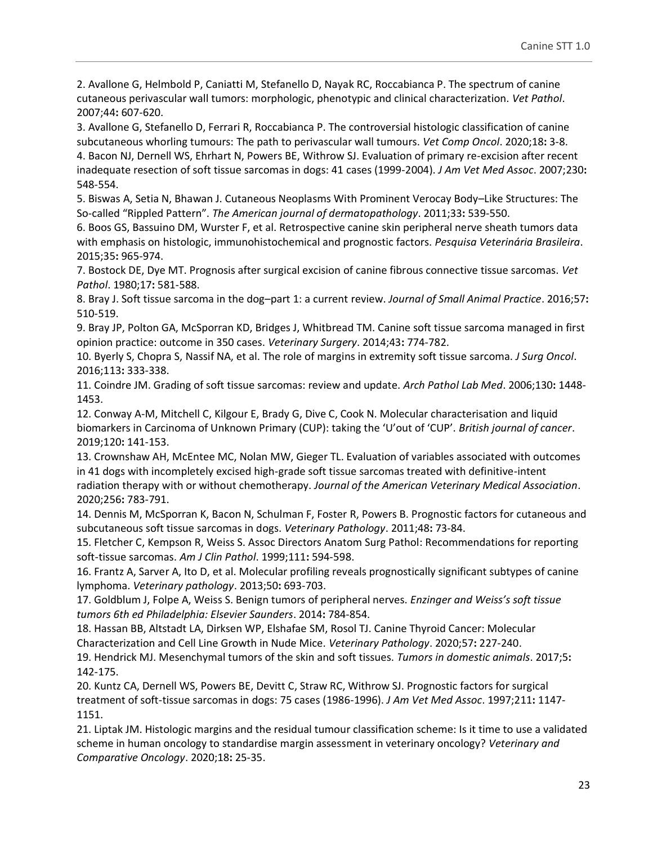2. Avallone G, Helmbold P, Caniatti M, Stefanello D, Nayak RC, Roccabianca P. The spectrum of canine cutaneous perivascular wall tumors: morphologic, phenotypic and clinical characterization. *Vet Pathol*. 2007;44**:** 607-620.

3. Avallone G, Stefanello D, Ferrari R, Roccabianca P. The controversial histologic classification of canine subcutaneous whorling tumours: The path to perivascular wall tumours. *Vet Comp Oncol*. 2020;18**:** 3-8. 4. Bacon NJ, Dernell WS, Ehrhart N, Powers BE, Withrow SJ. Evaluation of primary re-excision after recent inadequate resection of soft tissue sarcomas in dogs: 41 cases (1999-2004). *J Am Vet Med Assoc*. 2007;230**:**  548-554.

5. Biswas A, Setia N, Bhawan J. Cutaneous Neoplasms With Prominent Verocay Body–Like Structures: The So-called "Rippled Pattern". *The American journal of dermatopathology*. 2011;33**:** 539-550.

6. Boos GS, Bassuino DM, Wurster F, et al. Retrospective canine skin peripheral nerve sheath tumors data with emphasis on histologic, immunohistochemical and prognostic factors. *Pesquisa Veterinária Brasileira*. 2015;35**:** 965-974.

7. Bostock DE, Dye MT. Prognosis after surgical excision of canine fibrous connective tissue sarcomas. *Vet Pathol*. 1980;17**:** 581-588.

8. Bray J. Soft tissue sarcoma in the dog–part 1: a current review. *Journal of Small Animal Practice*. 2016;57**:**  510-519.

9. Bray JP, Polton GA, McSporran KD, Bridges J, Whitbread TM. Canine soft tissue sarcoma managed in first opinion practice: outcome in 350 cases. *Veterinary Surgery*. 2014;43**:** 774-782.

10. Byerly S, Chopra S, Nassif NA, et al. The role of margins in extremity soft tissue sarcoma. *J Surg Oncol*. 2016;113**:** 333-338.

11. Coindre JM. Grading of soft tissue sarcomas: review and update. *Arch Pathol Lab Med*. 2006;130**:** 1448- 1453.

12. Conway A-M, Mitchell C, Kilgour E, Brady G, Dive C, Cook N. Molecular characterisation and liquid biomarkers in Carcinoma of Unknown Primary (CUP): taking the 'U'out of 'CUP'. *British journal of cancer*. 2019;120**:** 141-153.

13. Crownshaw AH, McEntee MC, Nolan MW, Gieger TL. Evaluation of variables associated with outcomes in 41 dogs with incompletely excised high-grade soft tissue sarcomas treated with definitive-intent radiation therapy with or without chemotherapy. *Journal of the American Veterinary Medical Association*. 2020;256**:** 783-791.

14. Dennis M, McSporran K, Bacon N, Schulman F, Foster R, Powers B. Prognostic factors for cutaneous and subcutaneous soft tissue sarcomas in dogs. *Veterinary Pathology*. 2011;48**:** 73-84.

15. Fletcher C, Kempson R, Weiss S. Assoc Directors Anatom Surg Pathol: Recommendations for reporting soft-tissue sarcomas. *Am J Clin Pathol*. 1999;111**:** 594-598.

16. Frantz A, Sarver A, Ito D, et al. Molecular profiling reveals prognostically significant subtypes of canine lymphoma. *Veterinary pathology*. 2013;50**:** 693-703.

17. Goldblum J, Folpe A, Weiss S. Benign tumors of peripheral nerves. *Enzinger and Weiss's soft tissue tumors 6th ed Philadelphia: Elsevier Saunders*. 2014**:** 784-854.

18. Hassan BB, Altstadt LA, Dirksen WP, Elshafae SM, Rosol TJ. Canine Thyroid Cancer: Molecular Characterization and Cell Line Growth in Nude Mice. *Veterinary Pathology*. 2020;57**:** 227-240.

19. Hendrick MJ. Mesenchymal tumors of the skin and soft tissues. *Tumors in domestic animals*. 2017;5**:**  142-175.

20. Kuntz CA, Dernell WS, Powers BE, Devitt C, Straw RC, Withrow SJ. Prognostic factors for surgical treatment of soft-tissue sarcomas in dogs: 75 cases (1986-1996). *J Am Vet Med Assoc*. 1997;211**:** 1147- 1151.

21. Liptak JM. Histologic margins and the residual tumour classification scheme: Is it time to use a validated scheme in human oncology to standardise margin assessment in veterinary oncology? *Veterinary and Comparative Oncology*. 2020;18**:** 25-35.